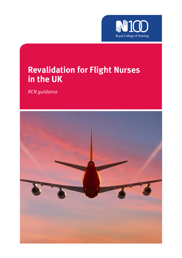

# **Revalidation for Flight Nurses in the UK**

*RCN guidance* 

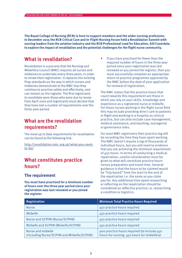**The Royal College of Nursing (RCN) is here to support members and the wider nursing profession. In December 2015 the RCN Critical Care and In-Flight Nursing Forum held a Revalidation Summit with nursing leaders from the aviation industry and the RCN Professional Lead for Education, Gill Coverdale, to explore the impact of revalidation and the potential challenges for the flight nurse community.**

# **What is revalidation?**

Revalidation is a process that the Nursing and Midwifery Council (NMC) requires all nurses and midwives to undertake every three years, in order to renew their registration. It replaces the existing Prep standards as the way in which nurses and midwives demonstrate to the NMC that they continue to practise safely and effectively, and can remain on the register. The first registrants to revalidate were those who were due to renew from April 2016 and registrants must declare that they have met a number of requirements over the three-year period.

### **What are the revalidation requirements?**

The most up to date requirements for revalidation can be found at the following link:

http://revalidation.nmc.org.uk/what-you-needto-do/

# **What constitutes practice hours?**

### **The requirement**

**You must have practised for a minimum number of hours over the three year period since your registration was last renewed or you joined the register.**

• If you have practised for fewer than the required number of hours in the three year period since your registration was last renewed or you joined the register, then you must successfully complete an appropriate return to practice programme approved by the NMC before the date of your application for renewal of registration.

The NMC states that the practice hours that count towards this requirement are those in which you rely on your skills, knowledge and experience as a registered nurse or midwife. For those nurses working in the flight nurse field this may include providing direct care to patients in flight and working in a hospital as clinical practice, but can also include case management, medical assistance, and teaching, managerial or governance roles.

For most NMC registrants their practice log will be recording the time they have spent working. The NMC doesn't require a log of thousands of individual hours, but you will need to evidence that you are achieving the minimum requirement of 450 hours. In terms of conducting a medical repatriation, careful consideration must be given to what will constitute practice hours versus preparation and travel time. General guidance is that the hours to be claimed would be "trip based" from the start to the end of the repatriation i.e. the same as you claim pay for. Any additional time spent researching or reflecting on the repatriation should be considered as reflective practice i.e. researching a condition or logistics.

| Registration                                                   | <b>Minimum Total Practice Hours Required</b>                                               |
|----------------------------------------------------------------|--------------------------------------------------------------------------------------------|
| <b>Nurse</b>                                                   | 450 practice hours required                                                                |
| Midwife                                                        | 450 practice hours required                                                                |
| Nurse and SCPHN (Nurse/SCPHN)                                  | 450 practice hours required                                                                |
| Midwife and SCPHN (Midwife/SCPHN)                              | 450 practice hours required                                                                |
| Nurse and midwife<br>(including Nurse/SCPHN and Midwife/SCPHN) | 900 practice hours required (to include 450<br>hours for nursing, 450 hours for midwifery) |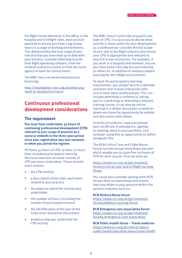For flight nurses who work in the office, in the hospital and in inflight roles, best practice would be to ensure you keep a log of your hours in a range of working environments. This demonstrates the true scope of your role and that you have kept up to date with your practice. Consider obtaining records from flight operating software, from the medical assistance centre or from the nurse agency or bank for clinical hours.

The NMC has a recommended practice hours log:

http://revalidation.nmc.org.uk/what-youneed-to-do/practice-hours

# **Continuous professional development considerations**

#### **The requirement**

**You must have undertaken 35 hours of continuing professional development (CPD) relevant to your scope of practice as a nurse or midwife in the three-year period since your registration was last renewed, or when you joined the register.**

Of those 35 hours of CPD, at least 20 must have included participatory learning. You must maintain accurate records of CPD you have undertaken. These records must contain:

- the CPD method
- a description of the topic and how it related to your practice
- the dates on which the activity was undertaken
- the number of hours (including the number of participatory hours)
- the identification of the part of the Code most relevant to the activity
- evidence that you undertook the CPD activity.

The NMC doesn't prescribe any particular type of CPD; it is up to you to decide what activity is most useful for your development as a professional. Consider the full scope of your role in the flight industry and ensure your CPD is appropriate and relevant to your full scope of practice. For example, if you work in a hospital environment, ensure you have some clinically focused learning to reflect on, in addition to aviation related learning for the inflight environment.

To meet the participatory learning requirement, you simply have to undertake activities that involve interaction with one or more other professionals. This can include attending a conference, taking part in a workshop or attending a relevant training course. It can also be online learning in a twitter discussion or webinar where you have the opportunity for debate and discussion with others.

In terms of evidence, save and upload your certificate of attendance, agenda or meeting notes in your portfolio, and consider using this as opportunity to reflect alongside this.

The RCN Critical Care and Flight Nurse Forum run two annual workshops per year which enable you to claim five-six hours of CPD for each course. Find out more at:

https://www.rcn.org.uk/get-involved/ forums/critical-care-and-in-flight-nursingforum

You could also consider joining other RCN forums that run workshops and events that may relate to your practice within the aviation industry such as:

#### **RCN Defence Nurse forum**

https://www.rcn.org.uk/get-involved/ forums/defence-nursing-forum

**RCN Emergency care association forum** https://www.rcn.org.uk/get-involved/ forums/emergency-care-association

**RCN Public health forum – Travel medicine** https://www.rcn.org.uk/clinical-topics/ public-health/specialist-areas/travel-health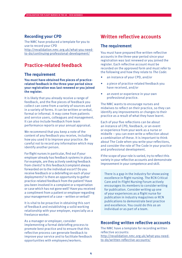### **Recording your CPD**

The NMC have produced a template for you to use to record your CPD http://revalidation.nmc.org.uk/what-you-needto-do/continuing-professional-development/

### **Practice-related feedback**

### **The requirement**

**You must have obtained five pieces of practicerelated feedback in the three-year period since your registration was last renewed or you joined the register.**

It is likely that you already receive a range of feedback, and the five pieces of feedback you collect can come from a variety of sources and in a variety of forms. It can be written or verbal, formal or informal. It may come from patients and service users, colleagues and management. It can also include feedback from team performance reports or your annual appraisal.

We recommend that you keep a note of the content of any feedback you receive, including how you used it to improve your practice. Be careful not to record any information which may identify another person.

For flight nurses in particular, find out if your employer already has feedback systems in place. For example, are they actively seeking feedback from clients? Is this feedback/complaint always forwarded on to the individual escort? Do you receive feedback or a debriefing on each of your deployments? Is there an opportunity to gather practice-related feedback from the patient? Have you been involved in a complaint or a repatriation or case which has not gone well? Have you received a compliment from a patient or employer regarding your management of a case – written or verbal?

It is vital to be proactive in obtaining this sort of feedback and establishing a solid working relationship with your employer, especially as a freelance worker.

As a manager or employer, consider implementing a formal debriefing process to promote best practice and to ensure that this reflective process can generate feedback to improve your service and to facilitate feedback opportunities with employees/workers.

## **Written reflective accounts**

### **The requirement**

You must have prepared five written reflective accounts in the three-year period since your registration was last renewed or you joined the register. Each reflective account must be recorded on the approved form and must refer to the following and how they relate to *The Code*:

- an instance of your CPD, and/or
- a piece of practice-related feedback you have received, and/or
- an event or experience in your own professional practice.

The NMC wants to encourage nurses and midwives to reflect on their practice, so they can identify any improvements or changes to their practice as a result of what they have learnt.

Each of your five reflections can be about an instance of CPD, feedback, or an event or experience from your work as a nurse or midwife – you can even write a reflection about a combination of these. It is important to think about The Code when you write your reflections, and consider the role of The Code in your practice and professional development.

If the scope of your role is varied, try to reflect this variety in your reflective accounts and demonstrate improvement in your competence and skill.

There is a gap in the industry for showcasing excellence in flight nursing. The RCN Critical Care and In-Flight Nursing Forum actively encourages its members to consider writing for publication. Consider writing up one of your experiences as a flight nurse for publication in industry magazines or RCN publications to demonstrate best practice and excellence. You could do this as an individual or as part of a team.

### **Recording written reflective accounts**

The NMC have a template for recording written reflective accounts: http://revalidation.nmc.org.uk/what-you-needto-do/written-reflective-accounts/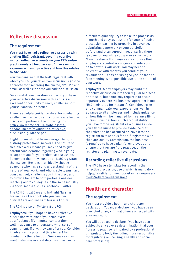# **Reflective discussion**

### **The requirement**

**You must have had a reflective discussion with another NMC registrant, covering your five written reflective accounts on your CPD and/or practice-related feedback and/or an event or experience in your practice and how this relates to** *The Code***.**

You must ensure that the NMC registrant with whom you had your reflective discussion signs the approved form recording their name, NMC Pin and email, as well as the date you had the discussion.

Give careful consideration as to who you have your reflective discussion with as this is an excellent opportunity to really challenge both yourself and your practice.

There is a helpful guidance sheet for conducting a reflective discussion and choosing a reflective discussion partner at the following link: http://www.nmc.org.uk/globalassets/ sitedocuments/revalidation/reflectivediscussion-guidance.pdf

Flight nurses should be encouraged to build a strong professional network. The nature of freelance work means you may need to give careful consideration regarding who is going to support you for your reflective discussion. Remember that they must be an NMC registrant themselves. Besides that, ideally choose someone who has a solid understanding of the nature of your work, and who is able to push and constructively challenge you in the discussion to provide benefit to both parties. Consider reaching out to colleagues in the same industry via social media such as Facebook, Twitter.

The RCN Critical Care and In-Flight Nursing Forum has a Facebook site you can join: Critical Care and In-Flight Nursing Forum

The RCN is also on Twitter: @theRCN

**Employees:** If you hope to have a reflective discussion with one of your employers as a freelance flight nurse, contact them well in advance to understand what sort of commitment, if any, they can offer you. Consider in advance the potential time impact for conducting the reflection. Some nurses may want to discuss in great detail so time can be

difficult to quantify. Try to make the process as smooth and easy as possible for your reflective discussion partner by preparing in advance, submitting paperwork or your portfolio beforehand at an agreed time, ensuring there is cover for you while you are away from work. Many freelance flight nurses may not see their employers face-to-face so give consideration as to how this will work. You may need to be creative with the way you conduct your revalidation – consider using Skype if a face-toface meeting is not possible due to the nature of your work.

**Employers:** Many employers may build the reflective discussion into their regular business appraisals, but some may require it to occur separately (where the business appraiser is not NMC registered for instance). Consider, agree and communicate your expectations well in advance to all employees and include guidance on how this will be managed for freelance flight nurses. Consider how much accountability you have for the registrant as a business – do you ask the nurse to provide evidence that the reflection has occurred or leave it to the registrant to take onus for it? If registered with the Care Quality Commission, the business is required to have a plan for employees and ensure that they are fit to practice, on the register and planning to revalidate.

### **Recording reflective discussions**

The NMC have a template for recording the reflective discussion, use of which is mandatory: http://revalidation.nmc.org.uk/what-you-needto-do/reflective-discussion/

### **Health and character**

### **The requirement**

You must provide a health and character declaration. You must declare if you have been convicted of any criminal offence or issued with a formal caution.

You will be asked to declare if you have been subject to any adverse determination that your fitness to practise is impaired by a professional or regulatory body (including those responsible for regulating or licensing a health and social care profession).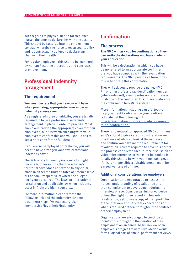With regards to physical health for freelance nurses the onus to declare lies with the escort. This should be factored into the employment contract whereby the nurse takes accountability and is contractually obliged to declare any change in their health.

For regular employees, this should be managed by Human Resource procedures and contracts of employment.

# **Professional Indemnity arrangement**

### **The requirement**

#### **You must declare that you have, or will have when practising, appropriate cover under an indemnity arrangement.**

As a registered nurse or midwife, you are legally required to have a professional indemnity arrangement in place in order to practise. Most employers provide the appropriate cover for their employees, but it is worth checking with your employer to confirm this and you should ask to see a hard copy for the full details.

If you are self-employed or freelance, you will need to have arranged your own professional indemnity cover.

The RCN offers Indemnity insurance for flight nursing but please note that the scheme's territorial cover does not extend to any claim made in either the United States of America (USA) or Canada, irrespective of where the alleged negligence occurred. The laws on international jurisdiction and applicable law when incidents occur in-flight are highly complex.

For more information please refer to the following link and the Indemnity scheme document: https://www.rcn.org.uk/ membership/legal-help/indemnity

# **Confirmation**

### **The process**

**The NMC will ask you for confirmation so they can verify the declarations you have made in your application.**

This will be a declaration in which you have demonstrated to an appropriate confirmer that you have complied with the revalidation requirements. The NMC provides a form for you to use to obtain this confirmation.

They will ask you to provide the name, NMC Pin or other professional identification number (where relevant), email, professional address and postcode of the confirmer. It is not mandatory for the confirmer to be NMC registered.

More information, including a useful tool to help you identify who can be your confirmer, is located at the following link: http://revalidation.nmc.org.uk/what-you-needto-do/confirmation/

There is no network of approved NMC confirmers so it's critical to give careful consideration well in advance of who can look at the evidence and confirm you have met the requirements for revalidation. You are required to have this part of the process conducted face-to-face discussion or video teleconference so this must be booked in. Ideally this should be with your line manager, but if this is not possible a suitable person must be agreed well ahead of time.

#### Additional considerations for employers

Organisations are encouraged to assess the nurses' understanding of revalidation and their commitment to development during the interview phase. Consider asking for evidence of how the flight nurse is working towards revalidation, ask to see a copy of their portfolio at the interview and set clear expectations of what is required of them throughout the contract of their employment.

Organisations are encouraged to continue to monitor this throughout the duration of their employment on an annual basis. Review of an employee's progress toward revalidation would form a logical part of annual performance reviews.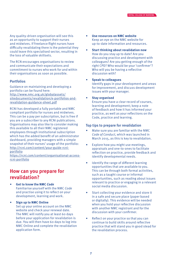Any quality-driven organisation will see this as an opportunity to support their nurses and midwives. If freelance flight nurses have difficulty revalidating there is the potential they could leave this specialised sector, resulting in the loss of valuable skillsets.

The RCN encourages organisations to review and communicate their expectations and commitment to nurses who work for and within their organisations as soon as possible.

#### **Portfolios**

Guidance on maintaining and developing a portfolio can be found here: http://www.nmc.org.uk/globalassets/ sitedocuments/revalidation/e-portfolios-andrevalidation-guidance-sheet.pdf

RCNi has developed a fully portable and NMC compliant portfolio for nurses and midwives. This can be a pay per subscription, but is free if you are a subscriber to any RCNi publications. Organisations may also like to consider making this available to all their NMC registered employees through institutional subscription which has the added benefit of an administrator dashboard, providing managers with a simple snapshot of their nurses' usage of the portfolio: http://rcni.com/content/your-guide-rcniportfolio

https://rcni.com/content/organisational-accessrcni-portfolio

### **How can you prepare for revalidation?**

- **Get to know the NMC** *Code* Familiarise yourself with the NMC *Code* and practise using it to reflect on your development, learning and work.
	- **Sign up to NMC Online** Set up your online account on the NMC website and check your renewal date. The NMC will notify you at least 60 days before your application for revalidation is due. You will then have 60 days to log into NMC Online and complete the revalidation application form.
- **Use resources on NMC website** Keep an eye on the NMC website for up-to-date information and resources.
- **Start thinking about revalidation now** How do you stay up to date? Are you discussing practice and development with colleagues? Are you getting enough of the right CPD? Who would be your 'confirmer'? Who will you be having a reflective discussion with?
- **Speak to colleagues**

Identify gaps in your development and areas for improvement, and discuss development issues with your manager.

• **Stay organised**

Ensure you have a clear record of courses, learning and development; keep a note of feedback and how it has informed your practice, as well as your reflections on the Code, practice and learning.

#### Top tips to prepare for revalidation

- Make sure you are familiar with the NMC *Code of Conduct*, which was launched in March 2015, as this is key to revalidation.
- Explore how you might use meetings, appraisals and one-to-ones to facilitate reflection on practice, provide feedback and identify developmental needs.
- Identify the range of different learning opportunities that are available to you. This can be through both formal activities, such as a taught course or informal opportunities, such as reading about issues relevant to practice or engaging in a relevant social media discussion.
- Start collecting your evidence and store it in a safe and secure place (paper based or digitally). This evidence will be needed when you hold your reflective discussion with another NMC registrant and for the discussion with your confirmer.
- Reflect on your practice so that you can continue to build skills around reflective practice that will stand you in good stead for the revalidation process.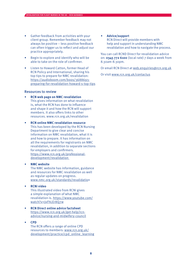- Gather feedback from activities with your client group. Remember feedback may not always be positive – less positive feedback can often trigger us to reflect and adjust our practice appropriately.
- Begin to explore and identify who will be able to take on the role of confirmer.
- Listen to Howard Catton, former Head of RCN Policy and International, sharing his top tips to prepare for NMC revalidation: https://audioboom.com/boos/3688693 preparing-for-revalidation-howard-s-top-tips

#### Resources to review

- **RCN web page on NMC revalidation**  This gives information on what revalidation is, what the RCN has done to influence and shape it and how the RCN will support members. It also offers links to other resources. www.rcn.org.uk/revalidation
- **RCN online NMC revalidation resource** This has been developed by the RCN Nursing Department to give clear and concise information on NMC revalidation, what it is and how to prepare. It has information on all the requirements for registrants on NMC revalidation, in addition to separate sections for employers and confirmers. https://www.rcn.org.uk/professionaldevelopment/revalidation
- **NMC website**

The NMC website has information, guidance and resources for NMC revalidation as well as regular updates on progress. www.nmc.org.uk/standards/revalidation

• **RCNi video**

This illustrated video from RCNi gives a simple explanation of what NMC revalidation is. https://www.youtube.com/ watch?v=JxFhLEr8Q7w

• **RCN Direct online advice factsheet** https://www.rcn.org.uk/get-help/rcnadvice/nursing-and-midwifery-council

#### • **CPD** The RCN offers a range of online CPD resources to members: www.rcn.org.uk/ development/practice/cpd\_online\_learning

• **Advice/support** RCN Direct will provide members with help and support in understanding NMC revalidation and how to navigate the process.

You can call RCND Direct for revalidation advice on: **0345 772 6100** (local rate) 7 days a week from 8.30am-8.30pm.

Or email RCN Direct at web.enquiries@rcn.org.uk

Or visit www.rcn.org.uk/contactus